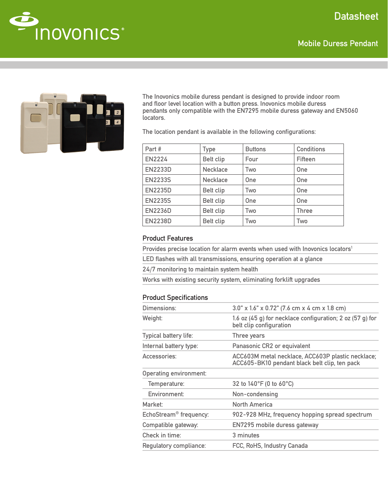# **Datasheet**







The Inovonics mobile duress pendant is designed to provide indoor room and floor level location with a button press. Inovonics mobile duress pendants only compatible with the EN7295 mobile duress gateway and EN5060 locators.

The location pendant is available in the following configurations:

| Part #         | <b>Type</b>      | <b>Buttons</b> | <b>Conditions</b> |
|----------------|------------------|----------------|-------------------|
| <b>EN2224</b>  | <b>Belt clip</b> | Four           | Fifteen           |
| <b>EN2233D</b> | <b>Necklace</b>  | Two            | One               |
| <b>EN2233S</b> | <b>Necklace</b>  | One            | One               |
| <b>EN2235D</b> | <b>Belt clip</b> | Two            | One               |
| <b>EN2235S</b> | <b>Belt clip</b> | <b>One</b>     | One               |
| <b>EN2236D</b> | <b>Belt clip</b> | Two            | <b>Three</b>      |
| <b>EN2238D</b> | <b>Belt clip</b> | Two            | Two               |

#### Product Features

Provides precise location for alarm events when used with Inovonics locators<sup>1</sup>

| LED flashes with all transmissions, ensuring operation at a glance |  |  |
|--------------------------------------------------------------------|--|--|
|--------------------------------------------------------------------|--|--|

24/7 monitoring to maintain system health

Works with existing security system, eliminating forklift upgrades

## Product Specifications

| Dimensions:                        | 3.0" x 1.6" x 0.72" (7.6 cm x 4 cm x 1.8 cm)                                                       |  |
|------------------------------------|----------------------------------------------------------------------------------------------------|--|
| Weight:                            | 1.6 oz $(45 g)$ for necklace configuration; 2 oz $(57 g)$ for<br>belt clip configuration           |  |
| Typical battery life:              | Three years                                                                                        |  |
| Internal battery type:             | Panasonic CR2 or equivalent                                                                        |  |
| Accessories:                       | ACC603M metal necklace, ACC603P plastic necklace;<br>ACC605-BK10 pendant black belt clip, ten pack |  |
| <b>Operating environment:</b>      |                                                                                                    |  |
| Temperature:                       | 32 to 140°F (0 to 60°C)                                                                            |  |
| Environment:                       | Non-condensing                                                                                     |  |
| Market:                            | North America                                                                                      |  |
| EchoStream <sup>®</sup> frequency: | 902-928 MHz, frequency hopping spread spectrum                                                     |  |
| Compatible gateway:                | EN7295 mobile duress gateway                                                                       |  |
| Check in time:                     | 3 minutes                                                                                          |  |
| Regulatory compliance:             | FCC, RoHS, Industry Canada                                                                         |  |
|                                    |                                                                                                    |  |